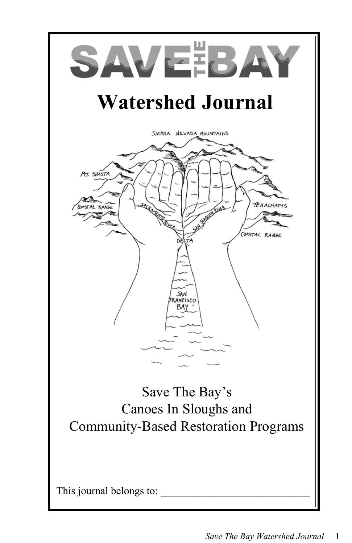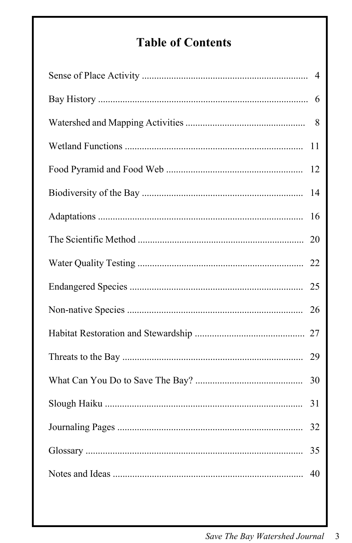# **Table of Contents**

| $\overline{4}$ |
|----------------|
| 6              |
| 8              |
| 11             |
| 12             |
| 14             |
| 16             |
| 20             |
|                |
| 25             |
| 26             |
|                |
| 29             |
| 30             |
| 31             |
| 32             |
| 35             |
| 40             |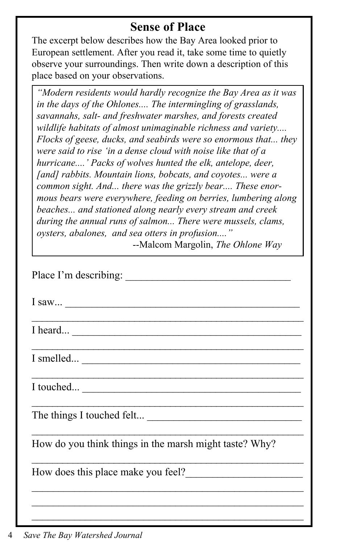### **Sense of Place**

The excerpt below describes how the Bay Area looked prior to European settlement. After you read it, take some time to quietly observe your surroundings. Then write down a description of this place based on your observations.

*"Modern residents would hardly recognize the Bay Area as it was in the days of the Ohlones.... The intermingling of grasslands, savannahs, salt- and freshwater marshes, and forests created wildlife habitats of almost unimaginable richness and variety.... Flocks of geese, ducks, and seabirds were so enormous that... they were said to rise 'in a dense cloud with noise like that of a hurricane....' Packs of wolves hunted the elk, antelope, deer, [and] rabbits. Mountain lions, bobcats, and coyotes... were a common sight. And... there was the grizzly bear.... These enormous bears were everywhere, feeding on berries, lumbering along beaches... and stationed along nearly every stream and creek during the annual runs of salmon... There were mussels, clams, oysters, abalones, and sea otters in profusion...."*

--Malcom Margolin, *The Ohlone Way*

| Place I'm describing:                                                                                                 |
|-----------------------------------------------------------------------------------------------------------------------|
| I saw                                                                                                                 |
| I heard                                                                                                               |
| $I$ smelled $\qquad \qquad$                                                                                           |
|                                                                                                                       |
| <u> 1989 - Johann John Stoff, deutscher Stoffen und der Stoffen und der Stoffen und der Stoffen und der Stoffen u</u> |
| How do you think things in the marsh might taste? Why?                                                                |
| How does this place make you feel?                                                                                    |
|                                                                                                                       |
|                                                                                                                       |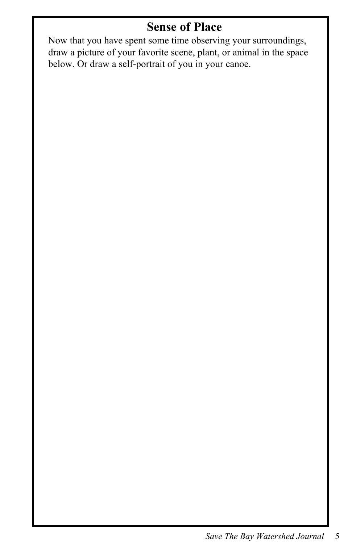## **Sense of Place**

Now that you have spent some time observing your surroundings, draw a picture of your favorite scene, plant, or animal in the space below. Or draw a self-portrait of you in your canoe.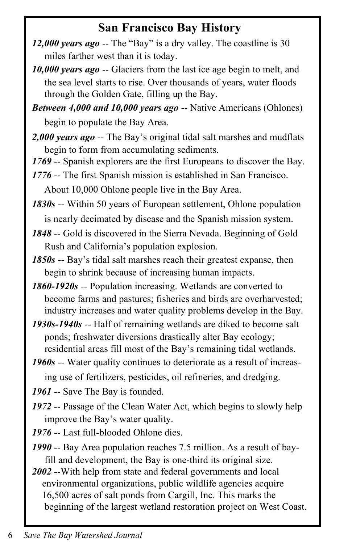### **San Francisco Bay History**

- *12,000 years ago* -- The "Bay" is a dry valley. The coastline is 30 miles farther west than it is today.
- *10,000 years ago* -- Glaciers from the last ice age begin to melt, and the sea level starts to rise. Over thousands of years, water floods through the Golden Gate, filling up the Bay.
- *Between 4,000 and 10,000 years ago* -- Native Americans (Ohlones) begin to populate the Bay Area.
- *2,000 years ago* -- The Bay's original tidal salt marshes and mudflats begin to form from accumulating sediments.
- *1769* -- Spanish explorers are the first Europeans to discover the Bay.
- *1776* -- The first Spanish mission is established in San Francisco. About 10,000 Ohlone people live in the Bay Area.

*1830s* -- Within 50 years of European settlement, Ohlone population is nearly decimated by disease and the Spanish mission system.

*1848* -- Gold is discovered in the Sierra Nevada. Beginning of Gold Rush and California's population explosion.

*1850s* -- Bay's tidal salt marshes reach their greatest expanse, then begin to shrink because of increasing human impacts.

*1860-1920s* -- Population increasing. Wetlands are converted to become farms and pastures; fisheries and birds are overharvested; industry increases and water quality problems develop in the Bay.

*1930s-1940s* -- Half of remaining wetlands are diked to become salt ponds; freshwater diversions drastically alter Bay ecology; residential areas fill most of the Bay's remaining tidal wetlands.

*1960s* -- Water quality continues to deteriorate as a result of increas ing use of fertilizers, pesticides, oil refineries, and dredging.

*1961* -- Save The Bay is founded.

- *1972* -- Passage of the Clean Water Act, which begins to slowly help improve the Bay's water quality.
- *1976* -- Last full-blooded Ohlone dies.
- *1990* -- Bay Area population reaches 7.5 million. As a result of bay fill and development, the Bay is one-third its original size.
- *2002* --With help from state and federal governments and local environmental organizations, public wildlife agencies acquire 16,500 acres of salt ponds from Cargill, Inc. This marks the beginning of the largest wetland restoration project on West Coast.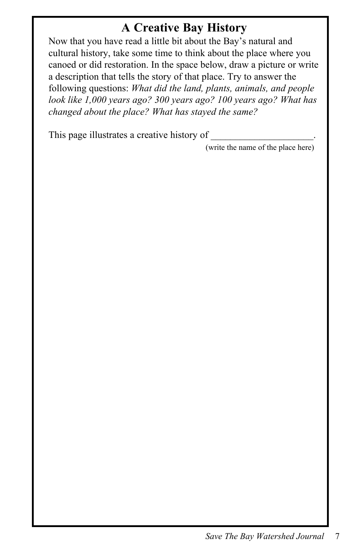## **A Creative Bay History**

Now that you have read a little bit about the Bay's natural and cultural history, take some time to think about the place where you canoed or did restoration. In the space below, draw a picture or write a description that tells the story of that place. Try to answer the following questions: *What did the land, plants, animals, and people look like 1,000 years ago? 300 years ago? 100 years ago? What has changed about the place? What has stayed the same?*

This page illustrates a creative history of \_\_\_\_\_\_\_\_\_\_\_\_\_\_\_\_\_\_\_\_\_.

(write the name of the place here)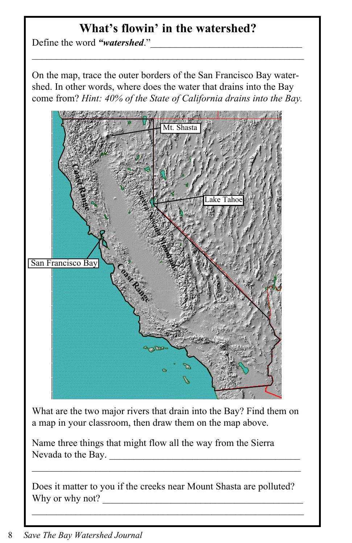## **What's flowin' in the watershed?**

Define the word "watershed."

On the map, trace the outer borders of the San Francisco Bay watershed. In other words, where does the water that drains into the Bay come from? *Hint: 40% of the State of California drains into the Bay.*



What are the two major rivers that drain into the Bay? Find them on a map in your classroom, then draw them on the map above.

Name three things that might flow all the way from the Sierra Nevada to the Bay.

Does it matter to you if the creeks near Mount Shasta are polluted? Why or why not?

 $\mathcal{L}_\text{max} = \mathcal{L}_\text{max} = \mathcal{L}_\text{max} = \mathcal{L}_\text{max} = \mathcal{L}_\text{max} = \mathcal{L}_\text{max} = \mathcal{L}_\text{max} = \mathcal{L}_\text{max} = \mathcal{L}_\text{max} = \mathcal{L}_\text{max} = \mathcal{L}_\text{max} = \mathcal{L}_\text{max} = \mathcal{L}_\text{max} = \mathcal{L}_\text{max} = \mathcal{L}_\text{max} = \mathcal{L}_\text{max} = \mathcal{L}_\text{max} = \mathcal{L}_\text{max} = \mathcal{$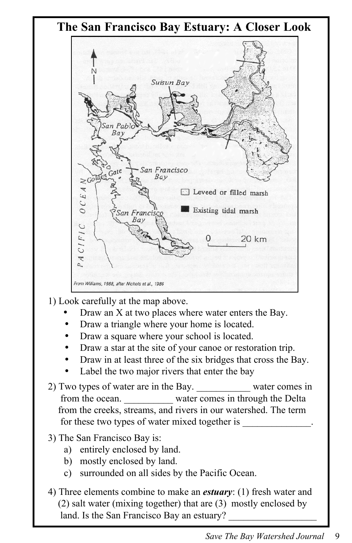

- 1) Look carefully at the map above.
	- Draw an X at two places where water enters the Bay.
	- Draw a triangle where your home is located.
	- Draw a square where your school is located.
	- Draw a star at the site of your canoe or restoration trip.
	- Draw in at least three of the six bridges that cross the Bay.
	- Label the two major rivers that enter the bay
- 2) Two types of water are in the Bay. water comes in from the ocean. Water comes in through the Delta from the creeks, streams, and rivers in our watershed. The term for these two types of water mixed together is
- 3) The San Francisco Bay is:
	- a) entirely enclosed by land.
	- b) mostly enclosed by land.
	- c) surrounded on all sides by the Pacific Ocean.
- 4) Three elements combine to make an *estuary*: (1) fresh water and (2) salt water (mixing together) that are (3) mostly enclosed by land. Is the San Francisco Bay an estuary?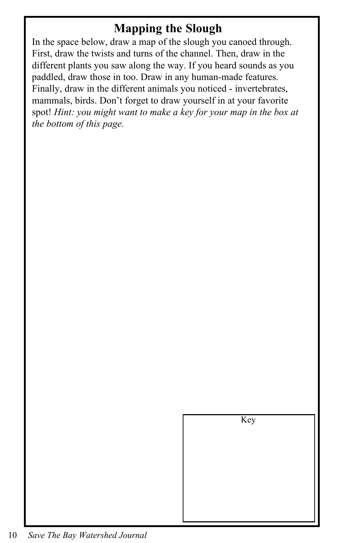### **Mapping the Slough**

In the space below, draw a map of the slough you canoed through. First, draw the twists and turns of the channel. Then, draw in the different plants you saw along the way. If you heard sounds as you paddled, draw those in too. Draw in any human-made features. Finally, draw in the different animals you noticed - invertebrates, mammals, birds. Don't forget to draw yourself in at your favorite spot! *Hint: you might want to make a key for your map in the box at the bottom of this page.*

Key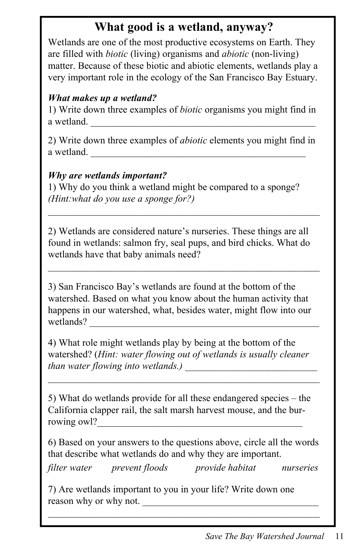## **What good is a wetland, anyway?**

Wetlands are one of the most productive ecosystems on Earth. They are filled with *biotic* (living) organisms and *abiotic* (non-living) matter. Because of these biotic and abiotic elements, wetlands play a very important role in the ecology of the San Francisco Bay Estuary.

#### *What makes up a wetland?*

1) Write down three examples of *biotic* organisms you might find in a wetland.

2) Write down three examples of *abiotic* elements you might find in a wetland.

#### *Why are wetlands important?*

1) Why do you think a wetland might be compared to a sponge? *(Hint:what do you use a sponge for?)*

2) Wetlands are considered nature's nurseries. These things are all found in wetlands: salmon fry, seal pups, and bird chicks. What do wetlands have that baby animals need?

 $\mathcal{L}_\text{max}$  and the contract of the contract of the contract of the contract of the contract of the contract of

 $\mathcal{L}_\text{max}$  and the contract of the contract of the contract of the contract of the contract of the contract of

3) San Francisco Bay's wetlands are found at the bottom of the watershed. Based on what you know about the human activity that happens in our watershed, what, besides water, might flow into our wetlands? \_\_\_\_\_\_\_\_\_\_\_\_\_\_\_\_\_\_\_\_\_\_\_\_\_\_\_\_\_\_\_\_\_\_\_\_\_\_\_\_\_\_\_\_\_\_\_

4) What role might wetlands play by being at the bottom of the watershed? (*Hint: water flowing out of wetlands is usually cleaner than water flowing into wetlands.)* 

 $\mathcal{L} = \{ \mathcal{L} \mathcal{L} \mathcal{L} \mathcal{L} \mathcal{L} \mathcal{L} \mathcal{L} \mathcal{L} \mathcal{L} \mathcal{L} \mathcal{L} \mathcal{L} \mathcal{L} \mathcal{L} \mathcal{L} \mathcal{L} \mathcal{L} \mathcal{L} \mathcal{L} \mathcal{L} \mathcal{L} \mathcal{L} \mathcal{L} \mathcal{L} \mathcal{L} \mathcal{L} \mathcal{L} \mathcal{L} \mathcal{L} \mathcal{L} \mathcal{L} \mathcal{L} \mathcal{L} \mathcal{L} \mathcal{L} \$ 

5) What do wetlands provide for all these endangered species – the California clapper rail, the salt marsh harvest mouse, and the burrowing owl?

6) Based on your answers to the questions above, circle all the words that describe what wetlands do and why they are important.

*filter water prevent floods provide habitat nurseries*

 $\mathcal{L}_\text{max}$  and the contract of the contract of the contract of the contract of the contract of the contract of

7) Are wetlands important to you in your life? Write down one reason why or why not.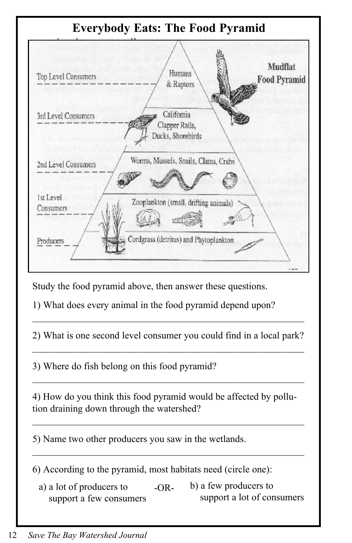

Study the food pyramid above, then answer these questions.

1) What does every animal in the food pyramid depend upon?

2) What is one second level consumer you could find in a local park?  $\mathcal{L}_\text{max} = \mathcal{L}_\text{max} = \mathcal{L}_\text{max} = \mathcal{L}_\text{max} = \mathcal{L}_\text{max} = \mathcal{L}_\text{max} = \mathcal{L}_\text{max} = \mathcal{L}_\text{max} = \mathcal{L}_\text{max} = \mathcal{L}_\text{max} = \mathcal{L}_\text{max} = \mathcal{L}_\text{max} = \mathcal{L}_\text{max} = \mathcal{L}_\text{max} = \mathcal{L}_\text{max} = \mathcal{L}_\text{max} = \mathcal{L}_\text{max} = \mathcal{L}_\text{max} = \mathcal{$ 

 $\mathcal{L}_\text{max}$  and the contract of the contract of the contract of the contract of the contract of the contract of the contract of the contract of the contract of the contract of the contract of the contract of the contrac

3) Where do fish belong on this food pyramid?

4) How do you think this food pyramid would be affected by pollution draining down through the watershed?

 $\mathcal{L}_\text{max} = \mathcal{L}_\text{max} = \mathcal{L}_\text{max} = \mathcal{L}_\text{max} = \mathcal{L}_\text{max} = \mathcal{L}_\text{max} = \mathcal{L}_\text{max} = \mathcal{L}_\text{max} = \mathcal{L}_\text{max} = \mathcal{L}_\text{max} = \mathcal{L}_\text{max} = \mathcal{L}_\text{max} = \mathcal{L}_\text{max} = \mathcal{L}_\text{max} = \mathcal{L}_\text{max} = \mathcal{L}_\text{max} = \mathcal{L}_\text{max} = \mathcal{L}_\text{max} = \mathcal{$ 

 $\mathcal{L}_\text{max}$  and the contract of the contract of the contract of the contract of the contract of the contract of the contract of the contract of the contract of the contract of the contract of the contract of the contrac

 $\mathcal{L}_\text{max} = \mathcal{L}_\text{max} = \mathcal{L}_\text{max} = \mathcal{L}_\text{max} = \mathcal{L}_\text{max} = \mathcal{L}_\text{max} = \mathcal{L}_\text{max} = \mathcal{L}_\text{max} = \mathcal{L}_\text{max} = \mathcal{L}_\text{max} = \mathcal{L}_\text{max} = \mathcal{L}_\text{max} = \mathcal{L}_\text{max} = \mathcal{L}_\text{max} = \mathcal{L}_\text{max} = \mathcal{L}_\text{max} = \mathcal{L}_\text{max} = \mathcal{L}_\text{max} = \mathcal{$ 

5) Name two other producers you saw in the wetlands.

6) According to the pyramid, most habitats need (circle one):

a) a lot of producers to support a few consumers b) a few producers to support a lot of consumers -OR-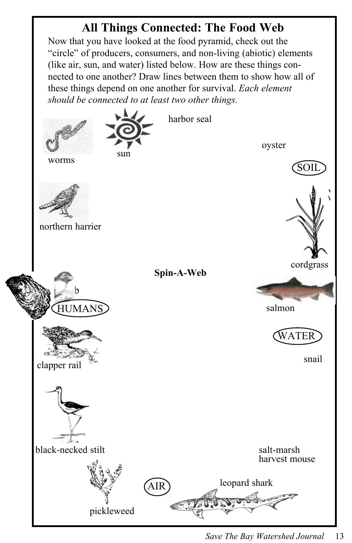## **All Things Connected: The Food Web**

Now that you have looked at the food pyramid, check out the "circle" of producers, consumers, and non-living (abiotic) elements (like air, sun, and water) listed below. How are these things connected to one another? Draw lines between them to show how all of these things depend on one another for survival. *Each element should be connected to at least two other things.*

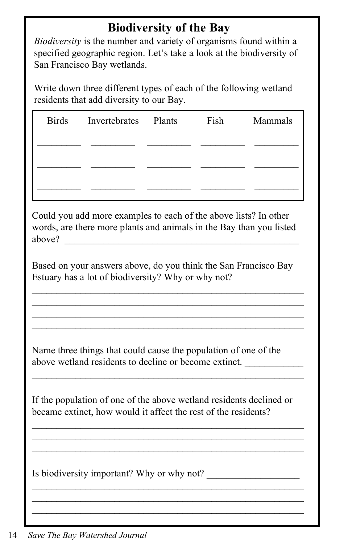### **Biodiversity of the Bay**

*Biodiversity* is the number and variety of organisms found within a specified geographic region. Let's take a look at the biodiversity of San Francisco Bay wetlands.

Write down three different types of each of the following wetland residents that add diversity to our Bay.

| <b>Birds</b> | Invertebrates Plants | Fish | Mammals |
|--------------|----------------------|------|---------|
|              |                      |      |         |
|              |                      |      |         |
|              |                      |      |         |
|              |                      |      |         |

Could you add more examples to each of the above lists? In other words, are there more plants and animals in the Bay than you listed above?

Based on your answers above, do you think the San Francisco Bay Estuary has a lot of biodiversity? Why or why not?

 $\mathcal{L}_\text{max} = \mathcal{L}_\text{max} = \mathcal{L}_\text{max} = \mathcal{L}_\text{max} = \mathcal{L}_\text{max} = \mathcal{L}_\text{max} = \mathcal{L}_\text{max} = \mathcal{L}_\text{max} = \mathcal{L}_\text{max} = \mathcal{L}_\text{max} = \mathcal{L}_\text{max} = \mathcal{L}_\text{max} = \mathcal{L}_\text{max} = \mathcal{L}_\text{max} = \mathcal{L}_\text{max} = \mathcal{L}_\text{max} = \mathcal{L}_\text{max} = \mathcal{L}_\text{max} = \mathcal{$  $\mathcal{L}_\text{max}$  and the contract of the contract of the contract of the contract of the contract of the contract of the contract of the contract of the contract of the contract of the contract of the contract of the contrac

 $\mathcal{L}_\text{max} = \mathcal{L}_\text{max} = \mathcal{L}_\text{max} = \mathcal{L}_\text{max} = \mathcal{L}_\text{max} = \mathcal{L}_\text{max} = \mathcal{L}_\text{max} = \mathcal{L}_\text{max} = \mathcal{L}_\text{max} = \mathcal{L}_\text{max} = \mathcal{L}_\text{max} = \mathcal{L}_\text{max} = \mathcal{L}_\text{max} = \mathcal{L}_\text{max} = \mathcal{L}_\text{max} = \mathcal{L}_\text{max} = \mathcal{L}_\text{max} = \mathcal{L}_\text{max} = \mathcal{$ 

Name three things that could cause the population of one of the above wetland residents to decline or become extinct.

If the population of one of the above wetland residents declined or became extinct, how would it affect the rest of the residents?

 $\mathcal{L}_\text{max}$  and the contract of the contract of the contract of the contract of the contract of the contract of the contract of the contract of the contract of the contract of the contract of the contract of the contrac  $\mathcal{L}_\text{max} = \mathcal{L}_\text{max} = \mathcal{L}_\text{max} = \mathcal{L}_\text{max} = \mathcal{L}_\text{max} = \mathcal{L}_\text{max} = \mathcal{L}_\text{max} = \mathcal{L}_\text{max} = \mathcal{L}_\text{max} = \mathcal{L}_\text{max} = \mathcal{L}_\text{max} = \mathcal{L}_\text{max} = \mathcal{L}_\text{max} = \mathcal{L}_\text{max} = \mathcal{L}_\text{max} = \mathcal{L}_\text{max} = \mathcal{L}_\text{max} = \mathcal{L}_\text{max} = \mathcal{$  $\mathcal{L}_\text{max}$  and the contract of the contract of the contract of the contract of the contract of the contract of the contract of the contract of the contract of the contract of the contract of the contract of the contrac

 $\mathcal{L}_\text{max} = \mathcal{L}_\text{max} = \mathcal{L}_\text{max} = \mathcal{L}_\text{max} = \mathcal{L}_\text{max} = \mathcal{L}_\text{max} = \mathcal{L}_\text{max} = \mathcal{L}_\text{max} = \mathcal{L}_\text{max} = \mathcal{L}_\text{max} = \mathcal{L}_\text{max} = \mathcal{L}_\text{max} = \mathcal{L}_\text{max} = \mathcal{L}_\text{max} = \mathcal{L}_\text{max} = \mathcal{L}_\text{max} = \mathcal{L}_\text{max} = \mathcal{L}_\text{max} = \mathcal{$  $\mathcal{L}_\text{max}$  and the contract of the contract of the contract of the contract of the contract of the contract of the contract of the contract of the contract of the contract of the contract of the contract of the contrac

 $\mathcal{L}_\text{max}$  and the contract of the contract of the contract of the contract of the contract of the contract of the contract of the contract of the contract of the contract of the contract of the contract of the contrac

Is biodiversity important? Why or why not?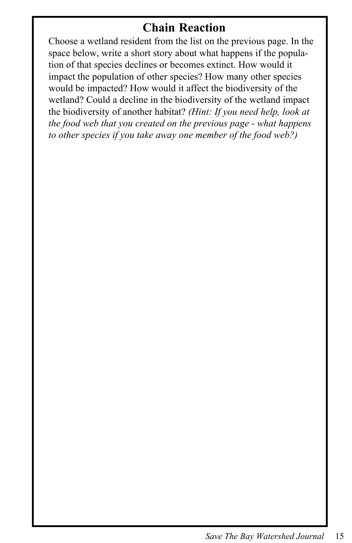### **Chain Reaction**

Choose a wetland resident from the list on the previous page. In the space below, write a short story about what happens if the population of that species declines or becomes extinct. How would it impact the population of other species? How many other species would be impacted? How would it affect the biodiversity of the wetland? Could a decline in the biodiversity of the wetland impact the biodiversity of another habitat? *(Hint: If you need help, look at the food web that you created on the previous page - what happens to other species if you take away one member of the food web?)*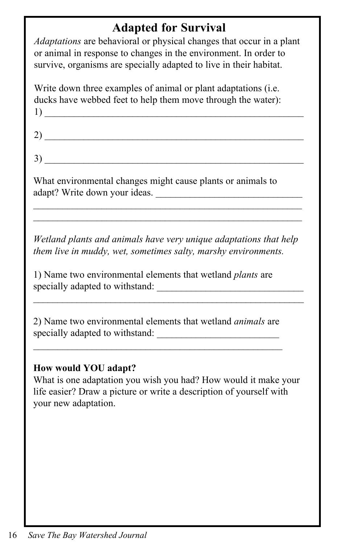### **Adapted for Survival**

*Adaptations* are behavioral or physical changes that occur in a plant or animal in response to changes in the environment. In order to survive, organisms are specially adapted to live in their habitat.

Write down three examples of animal or plant adaptations (i.e. ducks have webbed feet to help them move through the water): 1)  $\qquad \qquad$ 

 $2)$  $3)$   $\overline{\phantom{a}}$ 

What environmental changes might cause plants or animals to adapt? Write down your ideas.

*Wetland plants and animals have very unique adaptations that help them live in muddy, wet, sometimes salty, marshy environments.*

 $\mathcal{L}_\text{max}$  and the contract of the contract of the contract of the contract of the contract of the contract of the contract of the contract of the contract of the contract of the contract of the contract of the contrac

\_\_\_\_\_\_\_\_\_\_\_\_\_\_\_\_\_\_\_\_\_\_\_\_\_\_\_\_\_\_\_\_\_\_\_\_\_\_\_\_\_\_\_\_\_\_\_\_\_\_\_\_\_\_\_  $\mathcal{L}_\text{max}$  and the contract of the contract of the contract of the contract of the contract of the contract of the contract of the contract of the contract of the contract of the contract of the contract of the contrac

1) Name two environmental elements that wetland *plants* are specially adapted to withstand:

2) Name two environmental elements that wetland *animals* are specially adapted to withstand:

 $\mathcal{L}_\text{max}$  and the contract of the contract of the contract of the contract of the contract of the contract of the contract of the contract of the contract of the contract of the contract of the contract of the contrac

#### **How would YOU adapt?**

What is one adaptation you wish you had? How would it make your life easier? Draw a picture or write a description of yourself with your new adaptation.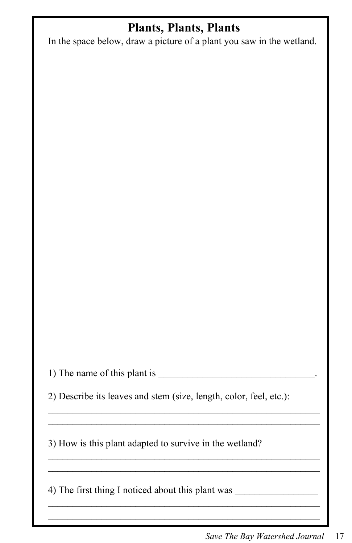### **Plants, Plants, Plants**

In the space below, draw a picture of a plant you saw in the wetland.

1) The name of this plant is \_\_\_\_\_\_\_\_\_\_\_\_\_\_\_\_\_\_\_\_\_\_\_\_\_\_\_\_\_\_\_\_.

2) Describe its leaves and stem (size, length, color, feel, etc.):

 $\mathcal{L}_\text{max}$  and the contract of the contract of the contract of the contract of the contract of the contract of the contract of the contract of the contract of the contract of the contract of the contract of the contrac  $\mathcal{L}_\text{max} = \mathcal{L}_\text{max} = \mathcal{L}_\text{max} = \mathcal{L}_\text{max} = \mathcal{L}_\text{max} = \mathcal{L}_\text{max} = \mathcal{L}_\text{max} = \mathcal{L}_\text{max} = \mathcal{L}_\text{max} = \mathcal{L}_\text{max} = \mathcal{L}_\text{max} = \mathcal{L}_\text{max} = \mathcal{L}_\text{max} = \mathcal{L}_\text{max} = \mathcal{L}_\text{max} = \mathcal{L}_\text{max} = \mathcal{L}_\text{max} = \mathcal{L}_\text{max} = \mathcal{$ 

 $\mathcal{L}_\text{max}$  and the contract of the contract of the contract of the contract of the contract of the contract of the contract of the contract of the contract of the contract of the contract of the contract of the contrac  $\mathcal{L}_\text{max}$  and the contract of the contract of the contract of the contract of the contract of the contract of the contract of the contract of the contract of the contract of the contract of the contract of the contrac

 $\mathcal{L}_\text{max}$  and the contract of the contract of the contract of the contract of the contract of the contract of the contract of the contract of the contract of the contract of the contract of the contract of the contrac

3) How is this plant adapted to survive in the wetland?

4) The first thing I noticed about this plant was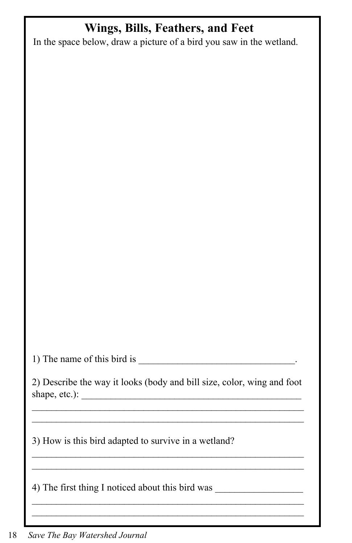# **Wings, Bills, Feathers, and Feet**

In the space below, draw a picture of a bird you saw in the wetland.

1) The name of this bird is  $\overline{\phantom{a}}$ 

2) Describe the way it looks (body and bill size, color, wing and foot shape, etc.):  $\frac{1}{\sqrt{2\pi}}$ 

 $\mathcal{L}_\text{max}$  and the contract of the contract of the contract of the contract of the contract of the contract of the contract of the contract of the contract of the contract of the contract of the contract of the contrac

 $\mathcal{L}_\text{max} = \mathcal{L}_\text{max} = \mathcal{L}_\text{max} = \mathcal{L}_\text{max} = \mathcal{L}_\text{max} = \mathcal{L}_\text{max} = \mathcal{L}_\text{max} = \mathcal{L}_\text{max} = \mathcal{L}_\text{max} = \mathcal{L}_\text{max} = \mathcal{L}_\text{max} = \mathcal{L}_\text{max} = \mathcal{L}_\text{max} = \mathcal{L}_\text{max} = \mathcal{L}_\text{max} = \mathcal{L}_\text{max} = \mathcal{L}_\text{max} = \mathcal{L}_\text{max} = \mathcal{$  $\mathcal{L}_\text{max}$  and the contract of the contract of the contract of the contract of the contract of the contract of the contract of the contract of the contract of the contract of the contract of the contract of the contrac

 $\mathcal{L}_\text{max}$ \_\_\_\_\_\_\_\_\_\_\_\_\_\_\_\_\_\_\_\_\_\_\_\_\_\_\_\_\_\_\_\_\_\_\_\_\_\_\_\_\_\_\_\_\_\_\_\_\_\_\_\_\_\_\_\_

 $\mathcal{L}_\text{max}$  and  $\mathcal{L}_\text{max}$  and  $\mathcal{L}_\text{max}$  and  $\mathcal{L}_\text{max}$  and  $\mathcal{L}_\text{max}$ 

3) How is this bird adapted to survive in a wetland?

4) The first thing I noticed about this bird was \_\_\_\_\_\_\_\_\_\_\_\_\_\_\_\_\_\_\_\_\_\_\_\_\_\_\_\_\_\_\_\_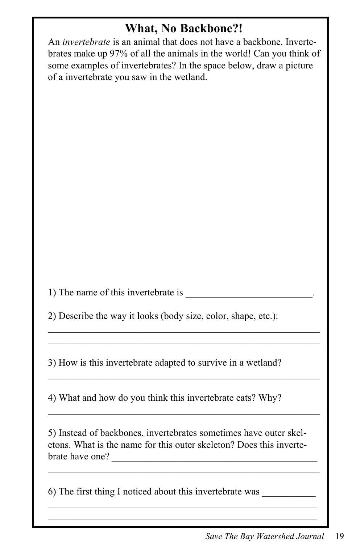### **What, No Backbone?!**

An *invertebrate* is an animal that does not have a backbone. Invertebrates make up 97% of all the animals in the world! Can you think of some examples of invertebrates? In the space below, draw a picture of a invertebrate you saw in the wetland.

1) The name of this invertebrate is

2) Describe the way it looks (body size, color, shape, etc.):

 $\mathcal{L}_\text{max}$  and the contract of the contract of the contract of the contract of the contract of the contract of the contract of the contract of the contract of the contract of the contract of the contract of the contrac

 $\mathcal{L}_\text{max}$  and the contract of the contract of the contract of the contract of the contract of the contract of the contract of the contract of the contract of the contract of the contract of the contract of the contrac

 $\mathcal{L}_\text{max} = \mathcal{L}_\text{max} = \mathcal{L}_\text{max} = \mathcal{L}_\text{max} = \mathcal{L}_\text{max} = \mathcal{L}_\text{max} = \mathcal{L}_\text{max} = \mathcal{L}_\text{max} = \mathcal{L}_\text{max} = \mathcal{L}_\text{max} = \mathcal{L}_\text{max} = \mathcal{L}_\text{max} = \mathcal{L}_\text{max} = \mathcal{L}_\text{max} = \mathcal{L}_\text{max} = \mathcal{L}_\text{max} = \mathcal{L}_\text{max} = \mathcal{L}_\text{max} = \mathcal{$ 

3) How is this invertebrate adapted to survive in a wetland?

4) What and how do you think this invertebrate eats? Why?

5) Instead of backbones, invertebrates sometimes have outer skeletons. What is the name for this outer skeleton? Does this invertebrate have one?

 $\mathcal{L}_\text{max} = \mathcal{L}_\text{max} = \mathcal{L}_\text{max} = \mathcal{L}_\text{max} = \mathcal{L}_\text{max} = \mathcal{L}_\text{max} = \mathcal{L}_\text{max} = \mathcal{L}_\text{max} = \mathcal{L}_\text{max} = \mathcal{L}_\text{max} = \mathcal{L}_\text{max} = \mathcal{L}_\text{max} = \mathcal{L}_\text{max} = \mathcal{L}_\text{max} = \mathcal{L}_\text{max} = \mathcal{L}_\text{max} = \mathcal{L}_\text{max} = \mathcal{L}_\text{max} = \mathcal{$ 

 $\mathcal{L}_\text{max}$  and the contract of the contract of the contract of the contract of the contract of the contract of the contract of the contract of the contract of the contract of the contract of the contract of the contrac

6) The first thing I noticed about this invertebrate was \_\_\_\_\_\_\_\_\_\_\_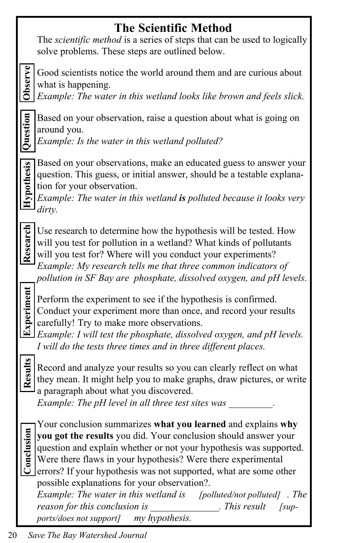# **The Scientific Method**

The *scientific method* is a series of steps that can be used to logically solve problems. These steps are outlined below.

**Observe**

Good scientists notice the world around them and are curious about what is happening.

*Example: The water in this wetland looks like brown and feels slick.*

Question

Based on your observation, raise a question about what is going on around you.

*Example: Is the water in this wetland polluted?*

Based on your observations, make an educated guess to answer your question. This guess, or initial answer, should be a testable explanation for your observation.

*Example: The water in this wetland is polluted because it looks very dirty.*

Research **Research**

**Hypothesis**

**Hypothesis** 

Use research to determine how the hypothesis will be tested. How will you test for pollution in a wetland? What kinds of pollutants will you test for? Where will you conduct your experiments? *Example: My research tells me that three common indicators of*

*pollution in SF Bay are phosphate, dissolved oxygen, and pH levels.*

**Experiment Results Experiment Research Hypothesis Question** 

Perform the experiment to see if the hypothesis is confirmed. Conduct your experiment more than once, and record your results carefully! Try to make more observations.

*Example: I will test the phosphate, dissolved oxygen, and pH levels. I will do the tests three times and in three different places.*

Results

**Conclusion**

Conclusion

Record and analyze your results so you can clearly reflect on what they mean. It might help you to make graphs, draw pictures, or write a paragraph about what you discovered.

*Example: The pH level in all three test sites was* 

Your conclusion summarizes **what you learned** and explains **why you got the results** you did. Your conclusion should answer your question and explain whether or not your hypothesis was supported. Were there flaws in your hypothesis? Were there experimental errors? If your hypothesis was not supported, what are some other possible explanations for your observation?.

*Example: The water in this wetland is [polluted/not polluted] . The reason for this conclusion is* This result [sup*ports/does not support] my hypothesis.*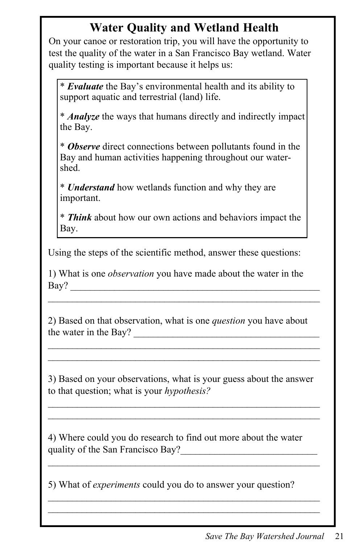## **Water Quality and Wetland Health**

On your canoe or restoration trip, you will have the opportunity to test the quality of the water in a San Francisco Bay wetland. Water quality testing is important because it helps us:

\* *Evaluate* the Bay's environmental health and its ability to support aquatic and terrestrial (land) life.

\* *Analyze* the ways that humans directly and indirectly impact the Bay.

\* *Observe* direct connections between pollutants found in the Bay and human activities happening throughout our watershed.

\* *Understand* how wetlands function and why they are important.

\* *Think* about how our own actions and behaviors impact the Bay.

Using the steps of the scientific method, answer these questions:

1) What is one *observation* you have made about the water in the Bay?

 $\mathcal{L}_\text{max} = \mathcal{L}_\text{max} = \mathcal{L}_\text{max} = \mathcal{L}_\text{max} = \mathcal{L}_\text{max} = \mathcal{L}_\text{max} = \mathcal{L}_\text{max} = \mathcal{L}_\text{max} = \mathcal{L}_\text{max} = \mathcal{L}_\text{max} = \mathcal{L}_\text{max} = \mathcal{L}_\text{max} = \mathcal{L}_\text{max} = \mathcal{L}_\text{max} = \mathcal{L}_\text{max} = \mathcal{L}_\text{max} = \mathcal{L}_\text{max} = \mathcal{L}_\text{max} = \mathcal{$ 

2) Based on that observation, what is one *question* you have about the water in the Bay?

3) Based on your observations, what is your guess about the answer to that question; what is your *hypothesis?*

 $\mathcal{L}_\text{max} = \mathcal{L}_\text{max} = \mathcal{L}_\text{max} = \mathcal{L}_\text{max} = \mathcal{L}_\text{max} = \mathcal{L}_\text{max} = \mathcal{L}_\text{max} = \mathcal{L}_\text{max} = \mathcal{L}_\text{max} = \mathcal{L}_\text{max} = \mathcal{L}_\text{max} = \mathcal{L}_\text{max} = \mathcal{L}_\text{max} = \mathcal{L}_\text{max} = \mathcal{L}_\text{max} = \mathcal{L}_\text{max} = \mathcal{L}_\text{max} = \mathcal{L}_\text{max} = \mathcal{$ 

\_\_\_\_\_\_\_\_\_\_\_\_\_\_\_\_\_\_\_\_\_\_\_\_\_\_\_\_\_\_\_\_\_\_\_\_\_\_\_\_\_\_\_\_\_\_\_\_\_\_\_\_\_\_\_\_

 $\mathcal{L}_\text{max} = \mathcal{L}_\text{max} = \mathcal{L}_\text{max} = \mathcal{L}_\text{max} = \mathcal{L}_\text{max} = \mathcal{L}_\text{max} = \mathcal{L}_\text{max} = \mathcal{L}_\text{max} = \mathcal{L}_\text{max} = \mathcal{L}_\text{max} = \mathcal{L}_\text{max} = \mathcal{L}_\text{max} = \mathcal{L}_\text{max} = \mathcal{L}_\text{max} = \mathcal{L}_\text{max} = \mathcal{L}_\text{max} = \mathcal{L}_\text{max} = \mathcal{L}_\text{max} = \mathcal{$ 

4) Where could you do research to find out more about the water quality of the San Francisco Bay?

5) What of *experiments* could you do to answer your question?

 $\mathcal{L}_\text{max}$  and the contract of the contract of the contract of the contract of the contract of the contract of  $\mathcal{L}_\text{max}$  and the contract of the contract of the contract of the contract of the contract of the contract of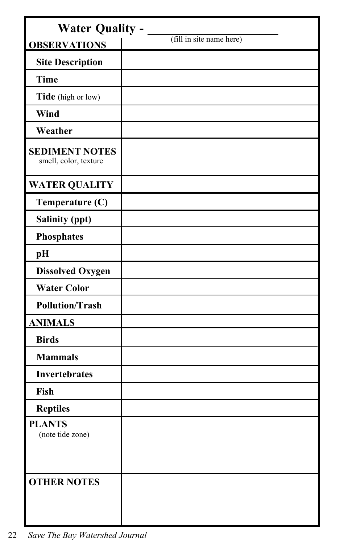| <b>Water Quality -</b>                         |                          |  |
|------------------------------------------------|--------------------------|--|
| <b>OBSERVATIONS</b>                            | (fill in site name here) |  |
| <b>Site Description</b>                        |                          |  |
| <b>Time</b>                                    |                          |  |
| Tide (high or low)                             |                          |  |
| Wind                                           |                          |  |
| Weather                                        |                          |  |
| <b>SEDIMENT NOTES</b><br>smell, color, texture |                          |  |
| <b>WATER QUALITY</b>                           |                          |  |
| Temperature (C)                                |                          |  |
| <b>Salinity (ppt)</b>                          |                          |  |
| <b>Phosphates</b>                              |                          |  |
| pH                                             |                          |  |
| <b>Dissolved Oxygen</b>                        |                          |  |
| <b>Water Color</b>                             |                          |  |
| <b>Pollution/Trash</b>                         |                          |  |
| <b>ANIMALS</b>                                 |                          |  |
| <b>Birds</b>                                   |                          |  |
| <b>Mammals</b>                                 |                          |  |
| <b>Invertebrates</b>                           |                          |  |
| Fish                                           |                          |  |
| <b>Reptiles</b>                                |                          |  |
| <b>PLANTS</b><br>(note tide zone)              |                          |  |
| <b>OTHER NOTES</b>                             |                          |  |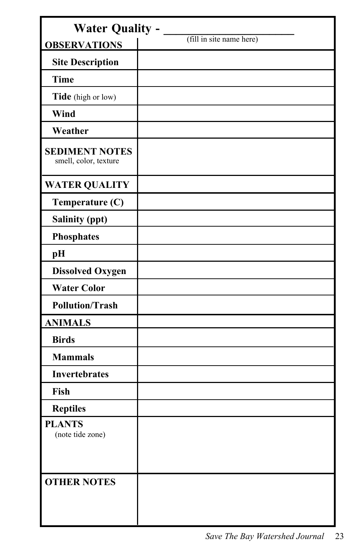|                                                | <b>Water Quality -</b>   |  |  |
|------------------------------------------------|--------------------------|--|--|
| <b>OBSERVATIONS</b>                            | (fill in site name here) |  |  |
| <b>Site Description</b>                        |                          |  |  |
| <b>Time</b>                                    |                          |  |  |
| <b>Tide</b> (high or low)                      |                          |  |  |
| Wind                                           |                          |  |  |
| Weather                                        |                          |  |  |
| <b>SEDIMENT NOTES</b><br>smell, color, texture |                          |  |  |
| <b>WATER QUALITY</b>                           |                          |  |  |
| Temperature (C)                                |                          |  |  |
| <b>Salinity (ppt)</b>                          |                          |  |  |
| <b>Phosphates</b>                              |                          |  |  |
| pH                                             |                          |  |  |
| <b>Dissolved Oxygen</b>                        |                          |  |  |
| <b>Water Color</b>                             |                          |  |  |
| <b>Pollution/Trash</b>                         |                          |  |  |
| <b>ANIMALS</b>                                 |                          |  |  |
| <b>Birds</b>                                   |                          |  |  |
| <b>Mammals</b>                                 |                          |  |  |
| <b>Invertebrates</b>                           |                          |  |  |
| Fish                                           |                          |  |  |
| <b>Reptiles</b>                                |                          |  |  |
| <b>PLANTS</b><br>(note tide zone)              |                          |  |  |
| <b>OTHER NOTES</b>                             |                          |  |  |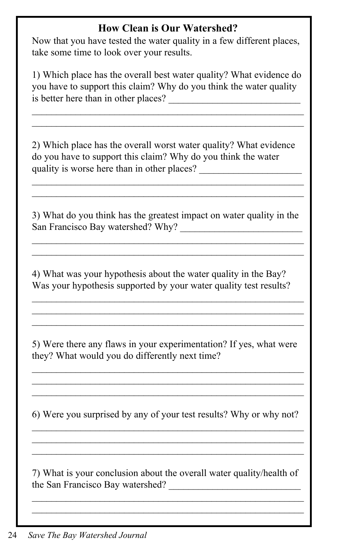#### **How Clean is Our Watershed?**

Now that you have tested the water quality in a few different places, take some time to look over your results.

1) Which place has the overall best water quality? What evidence do you have to support this claim? Why do you think the water quality is better here than in other places?

 $\mathcal{L}_\text{max}$  and the contract of the contract of the contract of the contract of the contract of the contract of

2) Which place has the overall worst water quality? What evidence do you have to support this claim? Why do you think the water quality is worse here than in other places?

3) What do you think has the greatest impact on water quality in the San Francisco Bay watershed? Why?

 $\mathcal{L}_\text{max}$  and the contract of the contract of the contract of the contract of the contract of the contract of

 $\mathcal{L}_\text{max}$  and the contract of the contract of the contract of the contract of the contract of the contract of

4) What was your hypothesis about the water quality in the Bay? Was your hypothesis supported by your water quality test results?

5) Were there any flaws in your experimentation? If yes, what were they? What would you do differently next time?

 $\mathcal{L}_\text{max}$  and the contract of the contract of the contract of the contract of the contract of the contract of  $\mathcal{L}_\text{max} = \mathcal{L}_\text{max} = \mathcal{L}_\text{max} = \mathcal{L}_\text{max} = \mathcal{L}_\text{max} = \mathcal{L}_\text{max} = \mathcal{L}_\text{max} = \mathcal{L}_\text{max} = \mathcal{L}_\text{max} = \mathcal{L}_\text{max} = \mathcal{L}_\text{max} = \mathcal{L}_\text{max} = \mathcal{L}_\text{max} = \mathcal{L}_\text{max} = \mathcal{L}_\text{max} = \mathcal{L}_\text{max} = \mathcal{L}_\text{max} = \mathcal{L}_\text{max} = \mathcal{$  $\mathcal{L}_\text{max}$  and the contract of the contract of the contract of the contract of the contract of the contract of

 $\mathcal{L}_\text{max}$  and the contract of the contract of the contract of the contract of the contract of the contract of  $\mathcal{L}_\text{max} = \mathcal{L}_\text{max} = \mathcal{L}_\text{max} = \mathcal{L}_\text{max} = \mathcal{L}_\text{max} = \mathcal{L}_\text{max} = \mathcal{L}_\text{max} = \mathcal{L}_\text{max} = \mathcal{L}_\text{max} = \mathcal{L}_\text{max} = \mathcal{L}_\text{max} = \mathcal{L}_\text{max} = \mathcal{L}_\text{max} = \mathcal{L}_\text{max} = \mathcal{L}_\text{max} = \mathcal{L}_\text{max} = \mathcal{L}_\text{max} = \mathcal{L}_\text{max} = \mathcal{$ 

6) Were you surprised by any of your test results? Why or why not?  $\mathcal{L}_\text{max}$  and the contract of the contract of the contract of the contract of the contract of the contract of

 $\mathcal{L}_\text{max} = \mathcal{L}_\text{max} = \mathcal{L}_\text{max} = \mathcal{L}_\text{max} = \mathcal{L}_\text{max} = \mathcal{L}_\text{max} = \mathcal{L}_\text{max} = \mathcal{L}_\text{max} = \mathcal{L}_\text{max} = \mathcal{L}_\text{max} = \mathcal{L}_\text{max} = \mathcal{L}_\text{max} = \mathcal{L}_\text{max} = \mathcal{L}_\text{max} = \mathcal{L}_\text{max} = \mathcal{L}_\text{max} = \mathcal{L}_\text{max} = \mathcal{L}_\text{max} = \mathcal{$  $\mathcal{L}_\text{max}$  and the contract of the contract of the contract of the contract of the contract of the contract of

7) What is your conclusion about the overall water quality/health of the San Francisco Bay watershed?

 $\mathcal{L}_\text{max} = \mathcal{L}_\text{max} = \mathcal{L}_\text{max} = \mathcal{L}_\text{max} = \mathcal{L}_\text{max} = \mathcal{L}_\text{max} = \mathcal{L}_\text{max} = \mathcal{L}_\text{max} = \mathcal{L}_\text{max} = \mathcal{L}_\text{max} = \mathcal{L}_\text{max} = \mathcal{L}_\text{max} = \mathcal{L}_\text{max} = \mathcal{L}_\text{max} = \mathcal{L}_\text{max} = \mathcal{L}_\text{max} = \mathcal{L}_\text{max} = \mathcal{L}_\text{max} = \mathcal{$  $\mathcal{L}_\text{max}$  and the contract of the contract of the contract of the contract of the contract of the contract of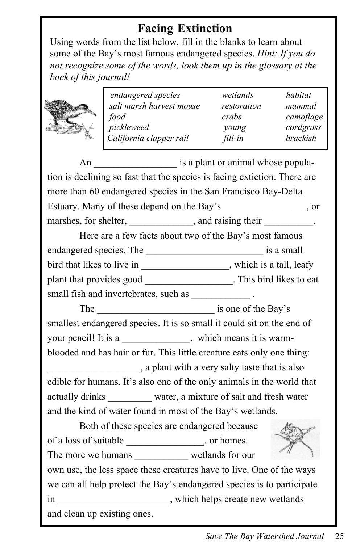# **Facing Extinction**

Using words from the list below, fill in the blanks to learn about some of the Bay's most famous endangered species. *Hint: If you do not recognize some of the words, look them up in the glossary at the back of this journal!*

| en  |
|-----|
| sai |
| foc |
| pic |
| Ca  |

|    | endangered species       | wetlands    | habitat   |
|----|--------------------------|-------------|-----------|
|    | salt marsh harvest mouse | restoration | mammal    |
| η. | food                     | crabs       | camoflage |
|    | pickleweed               | young       | cordgrass |
|    | California clapper rail  | fill-in     | brackish  |
|    |                          |             |           |

An \_\_\_\_\_\_\_\_\_\_\_\_\_\_\_\_\_ is a plant or animal whose population is declining so fast that the species is facing extiction. There are more than 60 endangered species in the San Francisco Bay-Delta Estuary. Many of these depend on the Bay's \_\_\_\_\_\_\_\_\_\_\_\_\_, or marshes, for shelter, \_\_\_\_\_\_\_\_\_\_\_\_, and raising their \_\_\_\_\_\_\_\_\_.

Here are a few facts about two of the Bay's most famous endangered species. The \_\_\_\_\_\_\_\_\_\_\_\_\_\_\_\_\_\_\_\_\_\_\_\_ is a small bird that likes to live in the set of the set of the set of the set of the set of the set of the set of the set of the set of the set of the set of the set of the set of the set of the set of the set of the set of the set plant that provides good \_\_\_\_\_\_\_\_\_\_\_\_\_\_\_\_\_\_\_. This bird likes to eat small fish and invertebrates, such as \_\_\_\_\_\_\_\_\_\_\_\_\_\_\_\_\_\_.

The subset of the Bay's is one of the Bay's smallest endangered species. It is so small it could sit on the end of your pencil! It is a which means it is warmblooded and has hair or fur. This little creature eats only one thing: \_\_\_\_\_\_\_\_\_\_\_\_\_\_\_\_\_\_\_, a plant with a very salty taste that is also edible for humans. It's also one of the only animals in the world that actually drinks water, a mixture of salt and fresh water and the kind of water found in most of the Bay's wetlands.

Both of these species are endangered because of a loss of suitable \_\_\_\_\_\_\_\_\_\_\_\_\_\_\_\_, or homes. The more we humans wetlands for our own use, the less space these creatures have to live. One of the ways we can all help protect the Bay's endangered species is to participate in which helps create new wetlands and clean up existing ones.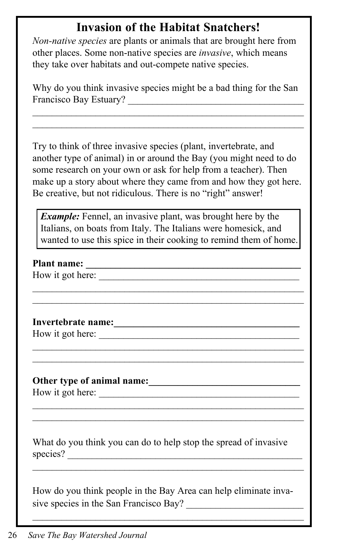## **Invasion of the Habitat Snatchers!**

*Non-native species* are plants or animals that are brought here from other places. Some non-native species are *invasive*, which means they take over habitats and out-compete native species.

Why do you think invasive species might be a bad thing for the San Francisco Bay Estuary?

 $\mathcal{L}_\text{max}$  and the contract of the contract of the contract of the contract of the contract of the contract of the contract of the contract of the contract of the contract of the contract of the contract of the contrac  $\mathcal{L}_\text{max}$  and the contract of the contract of the contract of the contract of the contract of the contract of the contract of the contract of the contract of the contract of the contract of the contract of the contrac

Try to think of three invasive species (plant, invertebrate, and another type of animal) in or around the Bay (you might need to do some research on your own or ask for help from a teacher). Then make up a story about where they came from and how they got here. Be creative, but not ridiculous. There is no "right" answer!

*Example:* Fennel, an invasive plant, was brought here by the Italians, on boats from Italy. The Italians were homesick, and wanted to use this spice in their cooking to remind them of home.

 $\mathcal{L}_\text{max}$  and the contract of the contract of the contract of the contract of the contract of the contract of the contract of the contract of the contract of the contract of the contract of the contract of the contrac  $\mathcal{L}_\text{max}$  and the contract of the contract of the contract of the contract of the contract of the contract of the contract of the contract of the contract of the contract of the contract of the contract of the contrac

 $\mathcal{L}_\text{max}$  and the contract of the contract of the contract of the contract of the contract of the contract of the contract of the contract of the contract of the contract of the contract of the contract of the contrac  $\mathcal{L}_\text{max}$  and the contract of the contract of the contract of the contract of the contract of the contract of the contract of the contract of the contract of the contract of the contract of the contract of the contrac

 $\mathcal{L}_\text{max}$  and the contract of the contract of the contract of the contract of the contract of the contract of the contract of the contract of the contract of the contract of the contract of the contract of the contrac  $\mathcal{L}_\text{max}$  and the contract of the contract of the contract of the contract of the contract of the contract of the contract of the contract of the contract of the contract of the contract of the contract of the contrac

Plant name:

How it got here:

**Invertebrate name:\_\_\_\_\_\_\_\_\_\_\_\_\_\_\_\_\_\_\_\_\_\_\_\_\_\_\_\_\_\_\_\_\_\_\_\_\_\_**

How it got here:

#### **Other type of animal name:\_\_\_\_\_\_\_\_\_\_\_\_\_\_\_\_\_\_\_\_\_\_\_\_\_\_\_\_\_\_\_**

How it got here:

What do you think you can do to help stop the spread of invasive species?

 $\mathcal{L}_\text{max}$  and the contract of the contract of the contract of the contract of the contract of the contract of the contract of the contract of the contract of the contract of the contract of the contract of the contrac

How do you think people in the Bay Area can help eliminate invasive species in the San Francisco Bay?

 $\mathcal{L}_\text{max}$  and the contract of the contract of the contract of the contract of the contract of the contract of the contract of the contract of the contract of the contract of the contract of the contract of the contrac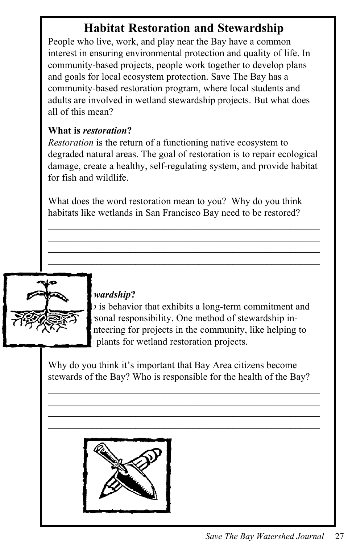# **Habitat Restoration and Stewardship**

People who live, work, and play near the Bay have a common interest in ensuring environmental protection and quality of life. In community-based projects, people work together to develop plans and goals for local ecosystem protection. Save The Bay has a community-based restoration program, where local students and adults are involved in wetland stewardship projects. But what does all of this mean?

#### **What is** *restoration***?**

*Restoration* is the return of a functioning native ecosystem to degraded natural areas. The goal of restoration is to repair ecological damage, create a healthy, self-regulating system, and provide habitat for fish and wildlife.

What does the word restoration mean to you? Why do you think habitats like wetlands in San Francisco Bay need to be restored?

**\_\_\_\_\_\_\_\_\_\_\_\_\_\_\_\_\_\_\_\_\_\_\_\_\_\_\_\_\_\_\_\_\_\_\_\_\_\_\_\_\_\_\_\_\_\_\_\_\_\_\_\_\_\_\_\_ \_\_\_\_\_\_\_\_\_\_\_\_\_\_\_\_\_\_\_\_\_\_\_\_\_\_\_\_\_\_\_\_\_\_\_\_\_\_\_\_\_\_\_\_\_\_\_\_\_\_\_\_\_\_\_\_ \_\_\_\_\_\_\_\_\_\_\_\_\_\_\_\_\_\_\_\_\_\_\_\_\_\_\_\_\_\_\_\_\_\_\_\_\_\_\_\_\_\_\_\_\_\_\_\_\_\_\_\_\_\_\_\_ \_\_\_\_\_\_\_\_\_\_\_\_\_\_\_\_\_\_\_\_\_\_\_\_\_\_\_\_\_\_\_\_\_\_\_\_\_\_\_\_\_\_\_\_\_\_\_\_\_\_\_\_\_\_\_\_**



#### **What is** *stewardship***?**

*Stewardship* is behavior that exhibits a long-term commitment and sonal responsibility. One method of stewardship innteering for projects in the community, like helping to plants for wetland restoration projects.

Why do you think it's important that Bay Area citizens become stewards of the Bay? Who is responsible for the health of the Bay?

**\_\_\_\_\_\_\_\_\_\_\_\_\_\_\_\_\_\_\_\_\_\_\_\_\_\_\_\_\_\_\_\_\_\_\_\_\_\_\_\_\_\_\_\_\_\_\_\_\_\_\_\_\_\_\_\_ \_\_\_\_\_\_\_\_\_\_\_\_\_\_\_\_\_\_\_\_\_\_\_\_\_\_\_\_\_\_\_\_\_\_\_\_\_\_\_\_\_\_\_\_\_\_\_\_\_\_\_\_\_\_\_\_ \_\_\_\_\_\_\_\_\_\_\_\_\_\_\_\_\_\_\_\_\_\_\_\_\_\_\_\_\_\_\_\_\_\_\_\_\_\_\_\_\_\_\_\_\_\_\_\_\_\_\_\_\_\_\_\_ \_\_\_\_\_\_\_\_\_\_\_\_\_\_\_\_\_\_\_\_\_\_\_\_\_\_\_\_\_\_\_\_\_\_\_\_\_\_\_\_\_\_\_\_\_\_\_\_\_\_\_\_\_\_\_\_**

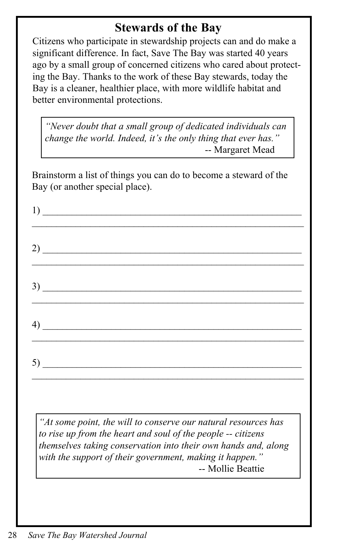### **Stewards of the Bay**

Citizens who participate in stewardship projects can and do make a significant difference. In fact, Save The Bay was started 40 years ago by a small group of concerned citizens who cared about protecting the Bay. Thanks to the work of these Bay stewards, today the Bay is a cleaner, healthier place, with more wildlife habitat and better environmental protections.

*"Never doubt that a small group of dedicated individuals can change the world. Indeed, it's the only thing that ever has."* -- Margaret Mead

Brainstorm a list of things you can do to become a steward of the Bay (or another special place).

| $\frac{1}{2}$                                                                                                                  |  |  |
|--------------------------------------------------------------------------------------------------------------------------------|--|--|
| $2)$ $\overline{\phantom{a}}$                                                                                                  |  |  |
| $\overline{3}$ )                                                                                                               |  |  |
| $\left(4\right)$ $\frac{1}{\sqrt{2}}$                                                                                          |  |  |
|                                                                                                                                |  |  |
| "At some point, the will to conserve our natural resources has<br>to rise up from the heart and soul of the people -- citizens |  |  |

*themselves taking conservation into their own hands and, along with the support of their government, making it happen."* -- Mollie Beattie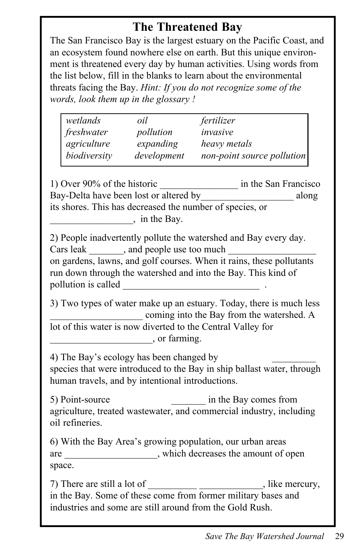## **The Threatened Bay**

The San Francisco Bay is the largest estuary on the Pacific Coast, and an ecosystem found nowhere else on earth. But this unique environment is threatened every day by human activities. Using words from the list below, fill in the blanks to learn about the environmental threats facing the Bay. *Hint: If you do not recognize some of the words, look them up in the glossary !*

| wetlands     | oil         | fertilizer                 |
|--------------|-------------|----------------------------|
| freshwater   | pollution   | invasive                   |
| agriculture  | expanding   | heavy metals               |
| biodiversity | development | non-point source pollution |

1) Over 90% of the historic \_\_\_\_\_\_\_\_\_\_\_\_\_\_\_\_ in the San Francisco Bay-Delta have been lost or altered by along along its shores. This has decreased the number of species, or  $\frac{1}{2}$ , in the Bay.

2) People inadvertently pollute the watershed and Bay every day. Cars leak  $\qquad \qquad$ , and people use too much on gardens, lawns, and golf courses. When it rains, these pollutants run down through the watershed and into the Bay. This kind of pollution is called

3) Two types of water make up an estuary. Today, there is much less coming into the Bay from the watershed. A lot of this water is now diverted to the Central Valley for  $\alpha$ , or farming.

4) The Bay's ecology has been changed by species that were introduced to the Bay in ship ballast water, through human travels, and by intentional introductions.

5) Point-source in the Bay comes from agriculture, treated wastewater, and commercial industry, including oil refineries.

6) With the Bay Area's growing population, our urban areas are  $\Box$ , which decreases the amount of open space.

7) There are still a lot of  $\blacksquare$ , like mercury, in the Bay. Some of these come from former military bases and industries and some are still around from the Gold Rush.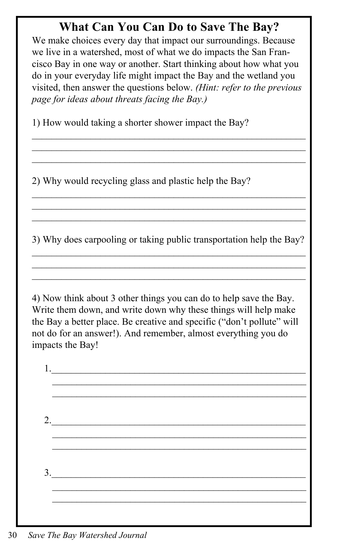### **What Can You Can Do to Save The Bay?**

We make choices every day that impact our surroundings. Because we live in a watershed, most of what we do impacts the San Francisco Bay in one way or another. Start thinking about how what you do in your everyday life might impact the Bay and the wetland you visited, then answer the questions below. *(Hint: refer to the previous page for ideas about threats facing the Bay.)*

 $\mathcal{L}_\text{max}$  and the contract of the contract of the contract of the contract of the contract of the contract of  $\mathcal{L}_\text{max}$  and the contract of the contract of the contract of the contract of the contract of the contract of

1) How would taking a shorter shower impact the Bay?

2) Why would recycling glass and plastic help the Bay?

3) Why does carpooling or taking public transportation help the Bay?  $\mathcal{L}_\text{max}$  and the contract of the contract of the contract of the contract of the contract of the contract of

 $\mathcal{L}_\text{max}$  and the contract of the contract of the contract of the contract of the contract of the contract of

 $\mathcal{L}_\text{max}$  and the contract of the contract of the contract of the contract of the contract of the contract of  $\mathcal{L}_\text{max}$  and the contract of the contract of the contract of the contract of the contract of the contract of

4) Now think about 3 other things you can do to help save the Bay. Write them down, and write down why these things will help make the Bay a better place. Be creative and specific ("don't pollute" will not do for an answer!). And remember, almost everything you do impacts the Bay!

 $1.$  $\mathcal{L}_\text{max}$  and the contract of the contract of the contract of the contract of the contract of the contract of the contract of the contract of the contract of the contract of the contract of the contract of the contrac 2.  $\mathcal{L}_\text{max} = \frac{1}{2} \sum_{i=1}^{n} \frac{1}{2} \sum_{i=1}^{n} \frac{1}{2} \sum_{i=1}^{n} \frac{1}{2} \sum_{i=1}^{n} \frac{1}{2} \sum_{i=1}^{n} \frac{1}{2} \sum_{i=1}^{n} \frac{1}{2} \sum_{i=1}^{n} \frac{1}{2} \sum_{i=1}^{n} \frac{1}{2} \sum_{i=1}^{n} \frac{1}{2} \sum_{i=1}^{n} \frac{1}{2} \sum_{i=1}^{n} \frac{1}{2} \sum_{i=1}^{n} \frac{1$  $\mathcal{L}_\text{max}$  and the contract of the contract of the contract of the contract of the contract of the contract of the contract of the contract of the contract of the contract of the contract of the contract of the contrac  $3.$  $\mathcal{L}_\text{max}$  and the contract of the contract of the contract of the contract of the contract of the contract of the contract of the contract of the contract of the contract of the contract of the contract of the contrac  $\mathcal{L}_\text{max}$  and the contract of the contract of the contract of the contract of the contract of the contract of the contract of the contract of the contract of the contract of the contract of the contract of the contrac

30 *Save The Bay Watershed Journal*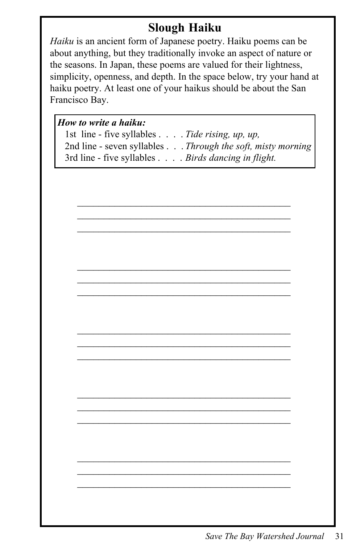## **Slough Haiku**

*Haiku* is an ancient form of Japanese poetry. Haiku poems can be about anything, but they traditionally invoke an aspect of nature or the seasons. In Japan, these poems are valued for their lightness, simplicity, openness, and depth. In the space below, try your hand at haiku poetry. At least one of your haikus should be about the San Francisco Bay.

#### *How to write a haiku:*

| 1st line - five syllables Tide rising, up, up,             |
|------------------------------------------------------------|
| 2nd line - seven syllables Through the soft, misty morning |
| 3rd line - five syllables Birds dancing in flight.         |

 $\mathcal{L}_\text{max}$  , and the contract of the contract of the contract of the contract of the contract of the contract of the contract of the contract of the contract of the contract of the contract of the contract of the contr  $\mathcal{L}_\text{max}$  , and the contract of the contract of the contract of the contract of the contract of the contract of the contract of the contract of the contract of the contract of the contract of the contract of the contr  $\mathcal{L}_\text{max}$  , and the contract of the contract of the contract of the contract of the contract of the contract of the contract of the contract of the contract of the contract of the contract of the contract of the contr

 $\mathcal{L}_\text{max}$  , and the contract of the contract of the contract of the contract of the contract of the contract of the contract of the contract of the contract of the contract of the contract of the contract of the contr  $\mathcal{L}_\text{max}$  , and the contract of the contract of the contract of the contract of the contract of the contract of the contract of the contract of the contract of the contract of the contract of the contract of the contr  $\mathcal{L}_\text{max}$  , and the contract of the contract of the contract of the contract of the contract of the contract of the contract of the contract of the contract of the contract of the contract of the contract of the contr

 $\mathcal{L}_\text{max}$  , and the contract of the contract of the contract of the contract of the contract of the contract of the contract of the contract of the contract of the contract of the contract of the contract of the contr  $\mathcal{L}_\text{max}$  , and the contract of the contract of the contract of the contract of the contract of the contract of the contract of the contract of the contract of the contract of the contract of the contract of the contr  $\mathcal{L}_\text{max}$  , and the contract of the contract of the contract of the contract of the contract of the contract of the contract of the contract of the contract of the contract of the contract of the contract of the contr

 $\mathcal{L}_\text{max}$  , and the contract of the contract of the contract of the contract of the contract of the contract of the contract of the contract of the contract of the contract of the contract of the contract of the contr  $\mathcal{L}_\text{max}$  , and the contract of the contract of the contract of the contract of the contract of the contract of the contract of the contract of the contract of the contract of the contract of the contract of the contr  $\mathcal{L}_\text{max}$  , and the contract of the contract of the contract of the contract of the contract of the contract of the contract of the contract of the contract of the contract of the contract of the contract of the contr

 $\mathcal{L}_\text{max}$  , and the contract of the contract of the contract of the contract of the contract of the contract of the contract of the contract of the contract of the contract of the contract of the contract of the contr  $\mathcal{L}_\text{max}$  , and the contract of the contract of the contract of the contract of the contract of the contract of the contract of the contract of the contract of the contract of the contract of the contract of the contr  $\mathcal{L}_\text{max}$  , and the contract of the contract of the contract of the contract of the contract of the contract of the contract of the contract of the contract of the contract of the contract of the contract of the contr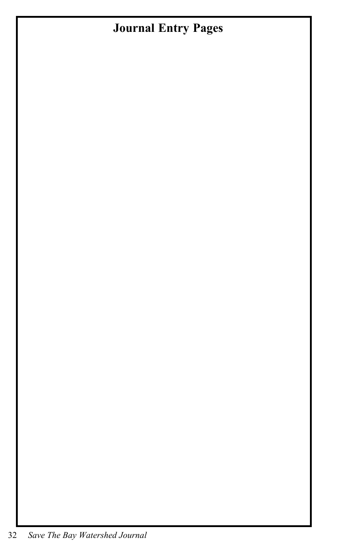# **Journal Entry Pages**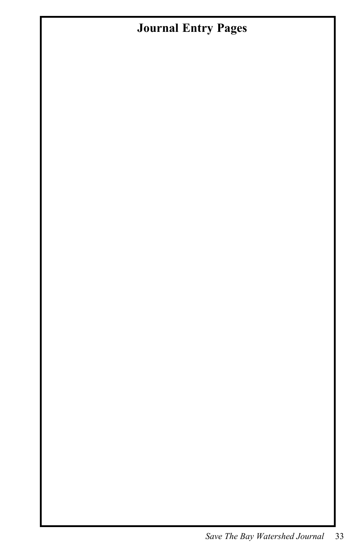# **Journal Entry Pages**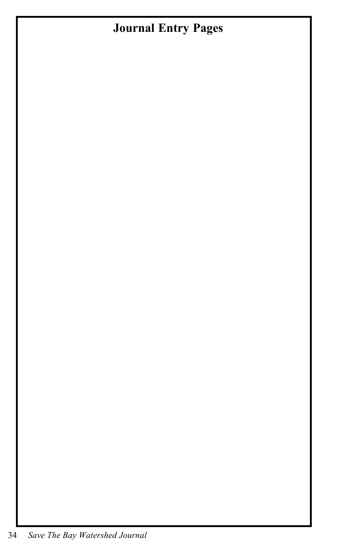# **Journal Entry Pages**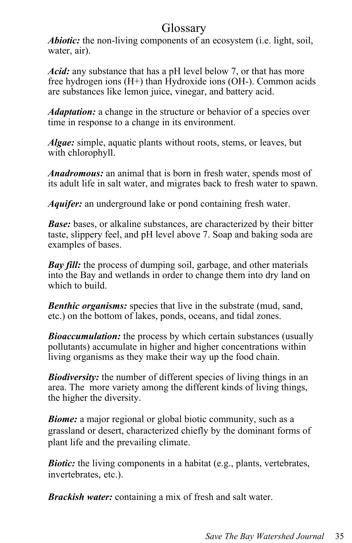#### Glossary

*Abiotic:* the non-living components of an ecosystem (i.e. light, soil, water, air).

*Acid:* any substance that has a pH level below 7, or that has more free hydrogen ions  $(H+)$  than Hydroxide ions (OH-). Common acids are substances like lemon juice, vinegar, and battery acid.

*Adaptation:* a change in the structure or behavior of a species over time in response to a change in its environment.

*Algae:* simple, aquatic plants without roots, stems, or leaves, but with chlorophyll.

*Anadromous:* an animal that is born in fresh water, spends most of its adult life in salt water, and migrates back to fresh water to spawn.

*Aquifer:* an underground lake or pond containing fresh water.

*Base:* bases, or alkaline substances, are characterized by their bitter taste, slippery feel, and pH level above 7. Soap and baking soda are examples of bases.

*Bay fill:* the process of dumping soil, garbage, and other materials into the Bay and wetlands in order to change them into dry land on which to build.

*Benthic organisms:* species that live in the substrate (mud, sand, etc.) on the bottom of lakes, ponds, oceans, and tidal zones.

**Bioaccumulation:** the process by which certain substances (usually pollutants) accumulate in higher and higher concentrations within living organisms as they make their way up the food chain.

*Biodiversity:* the number of different species of living things in an area. The more variety among the different kinds of living things, the higher the diversity.

*Biome:* a major regional or global biotic community, such as a grassland or desert, characterized chiefly by the dominant forms of plant life and the prevailing climate.

*Biotic:* the living components in a habitat (e.g., plants, vertebrates, invertebrates, etc.).

*Brackish water:* containing a mix of fresh and salt water.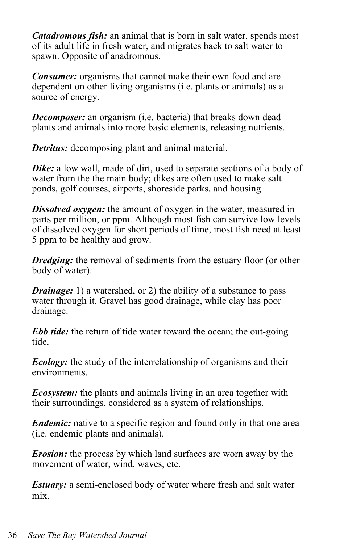*Catadromous fish:* an animal that is born in salt water, spends most of its adult life in fresh water, and migrates back to salt water to spawn. Opposite of anadromous.

*Consumer:* organisms that cannot make their own food and are dependent on other living organisms (i.e. plants or animals) as a source of energy.

*Decomposer:* an organism (i.e. bacteria) that breaks down dead plants and animals into more basic elements, releasing nutrients.

*Detritus:* decomposing plant and animal material.

**Dike:** a low wall, made of dirt, used to separate sections of a body of water from the the main body; dikes are often used to make salt ponds, golf courses, airports, shoreside parks, and housing.

*Dissolved oxygen:* the amount of oxygen in the water, measured in parts per million, or ppm. Although most fish can survive low levels of dissolved oxygen for short periods of time, most fish need at least 5 ppm to be healthy and grow.

*Dredging:* the removal of sediments from the estuary floor (or other body of water).

*Drainage:* 1) a watershed, or 2) the ability of a substance to pass water through it. Gravel has good drainage, while clay has poor drainage.

*Ebb tide:* the return of tide water toward the ocean; the out-going tide.

*Ecology:* the study of the interrelationship of organisms and their environments.

*Ecosystem:* the plants and animals living in an area together with their surroundings, considered as a system of relationships.

*Endemic:* native to a specific region and found only in that one area (i.e. endemic plants and animals).

*Erosion:* the process by which land surfaces are worn away by the movement of water, wind, waves, etc.

*Estuary:* a semi-enclosed body of water where fresh and salt water mix.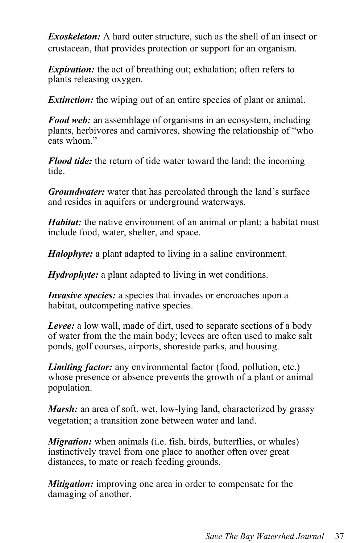*Exoskeleton:* A hard outer structure, such as the shell of an insect or crustacean, that provides protection or support for an organism.

*Expiration:* the act of breathing out; exhalation; often refers to plants releasing oxygen.

*Extinction:* the wiping out of an entire species of plant or animal.

*Food web:* an assemblage of organisms in an ecosystem, including plants, herbivores and carnivores, showing the relationship of "who eats whom"

*Flood tide:* the return of tide water toward the land; the incoming tide.

*Groundwater:* water that has percolated through the land's surface and resides in aquifers or underground waterways.

*Habitat:* the native environment of an animal or plant; a habitat must include food, water, shelter, and space.

*Halophyte:* a plant adapted to living in a saline environment.

*Hydrophyte:* a plant adapted to living in wet conditions.

*Invasive species:* a species that invades or encroaches upon a habitat, outcompeting native species.

*Levee:* a low wall, made of dirt, used to separate sections of a body of water from the the main body; levees are often used to make salt ponds, golf courses, airports, shoreside parks, and housing.

*Limiting factor:* any environmental factor (food, pollution, etc.) whose presence or absence prevents the growth of a plant or animal population.

*Marsh:* an area of soft, wet, low-lying land, characterized by grassy vegetation; a transition zone between water and land.

*Migration:* when animals (i.e. fish, birds, butterflies, or whales) instinctively travel from one place to another often over great distances, to mate or reach feeding grounds.

*Mitigation:* improving one area in order to compensate for the damaging of another.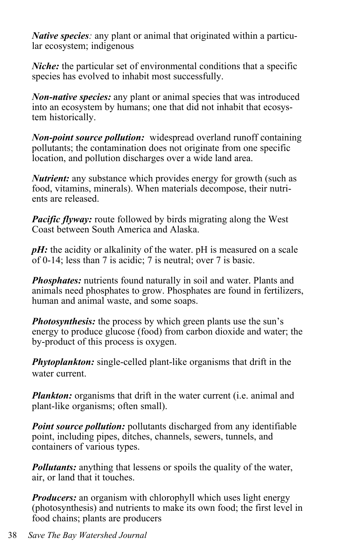*Native species:* any plant or animal that originated within a particular ecosystem; indigenous

*Niche:* the particular set of environmental conditions that a specific species has evolved to inhabit most successfully.

*Non-native species:* any plant or animal species that was introduced into an ecosystem by humans; one that did not inhabit that ecosystem historically.

*Non-point source pollution:* widespread overland runoff containing pollutants; the contamination does not originate from one specific location, and pollution discharges over a wide land area.

*Nutrient:* any substance which provides energy for growth (such as food, vitamins, minerals). When materials decompose, their nutrients are released.

*Pacific flyway:* route followed by birds migrating along the West Coast between South America and Alaska.

*pH*: the acidity or alkalinity of the water. pH is measured on a scale of 0-14; less than 7 is acidic; 7 is neutral; over 7 is basic.

*Phosphates:* nutrients found naturally in soil and water. Plants and animals need phosphates to grow. Phosphates are found in fertilizers, human and animal waste, and some soaps.

*Photosynthesis:* the process by which green plants use the sun's energy to produce glucose (food) from carbon dioxide and water; the by-product of this process is oxygen.

*Phytoplankton:* single-celled plant-like organisms that drift in the water current.

*Plankton:* organisms that drift in the water current (i.e. animal and plant-like organisms; often small).

*Point source pollution:* pollutants discharged from any identifiable point, including pipes, ditches, channels, sewers, tunnels, and containers of various types.

*Pollutants:* anything that lessens or spoils the quality of the water, air, or land that it touches.

*Producers:* an organism with chlorophyll which uses light energy (photosynthesis) and nutrients to make its own food; the first level in food chains; plants are producers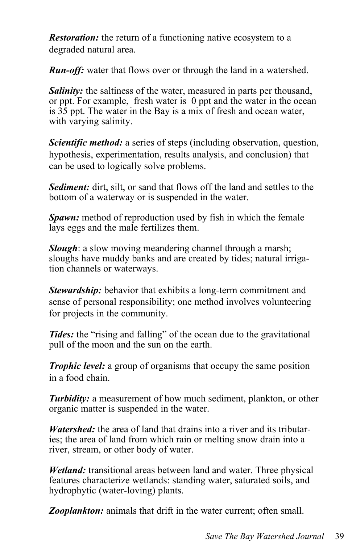*Restoration:* the return of a functioning native ecosystem to a degraded natural area.

*Run-off:* water that flows over or through the land in a watershed.

*Salinity:* the saltiness of the water, measured in parts per thousand, or ppt. For example, fresh water is 0 ppt and the water in the ocean is  $35$  ppt. The water in the Bay is a mix of fresh and ocean water, with varying salinity.

*Scientific method:* a series of steps (including observation, question, hypothesis, experimentation, results analysis, and conclusion) that can be used to logically solve problems.

*Sediment:* dirt, silt, or sand that flows off the land and settles to the bottom of a waterway or is suspended in the water.

*Spawn:* method of reproduction used by fish in which the female lays eggs and the male fertilizes them.

*Slough*: a slow moving meandering channel through a marsh; sloughs have muddy banks and are created by tides; natural irrigation channels or waterways.

*Stewardship:* behavior that exhibits a long-term commitment and sense of personal responsibility; one method involves volunteering for projects in the community.

**Tides:** the "rising and falling" of the ocean due to the gravitational pull of the moon and the sun on the earth.

*Trophic level:* a group of organisms that occupy the same position in a food chain.

*Turbidity:* a measurement of how much sediment, plankton, or other organic matter is suspended in the water.

*Watershed:* the area of land that drains into a river and its tributaries; the area of land from which rain or melting snow drain into a river, stream, or other body of water.

*Wetland:* transitional areas between land and water. Three physical features characterize wetlands: standing water, saturated soils, and hydrophytic (water-loving) plants.

*Zooplankton:* animals that drift in the water current; often small.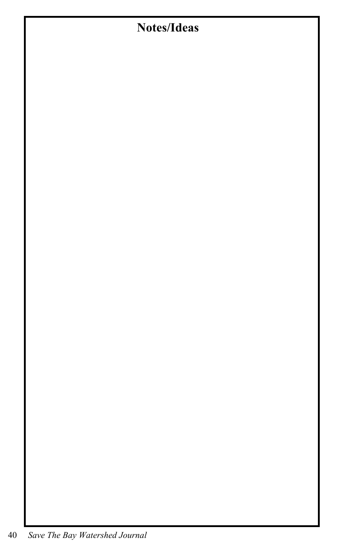# **Notes/Ideas**